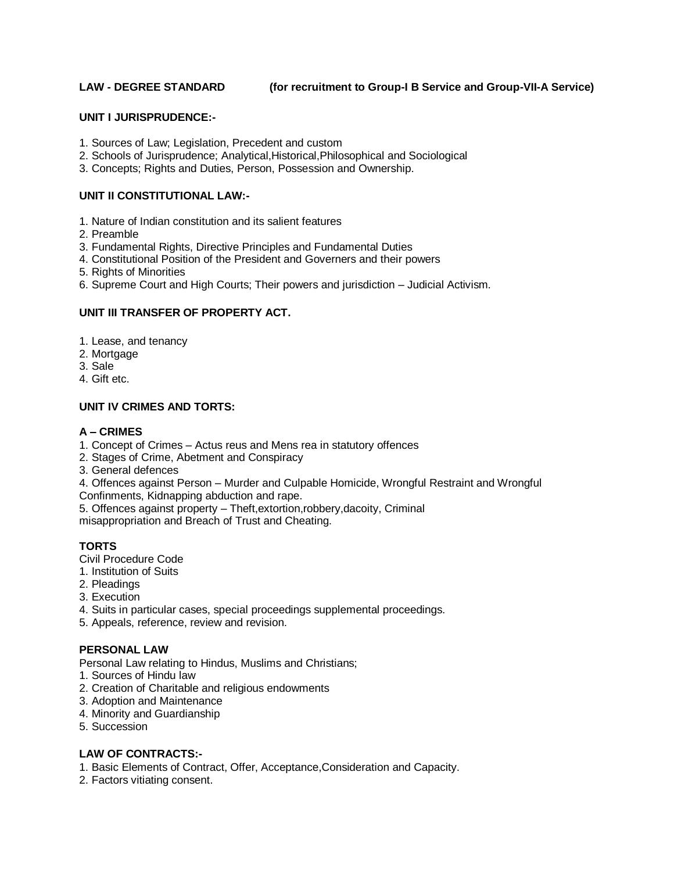## **LAW - DEGREE STANDARD (for recruitment to Group-I B Service and Group-VII-A Service)**

### **UNIT I JURISPRUDENCE:-**

- 1. Sources of Law; Legislation, Precedent and custom
- 2. Schools of Jurisprudence; Analytical,Historical,Philosophical and Sociological
- 3. Concepts; Rights and Duties, Person, Possession and Ownership.

## **UNIT II CONSTITUTIONAL LAW:-**

- 1. Nature of Indian constitution and its salient features
- 2. Preamble
- 3. Fundamental Rights, Directive Principles and Fundamental Duties
- 4. Constitutional Position of the President and Governers and their powers
- 5. Rights of Minorities
- 6. Supreme Court and High Courts; Their powers and jurisdiction Judicial Activism.

# **UNIT III TRANSFER OF PROPERTY ACT.**

- 1. Lease, and tenancy
- 2. Mortgage
- 3. Sale
- 4. Gift etc.

# **UNIT IV CRIMES AND TORTS:**

# **A – CRIMES**

- 1. Concept of Crimes Actus reus and Mens rea in statutory offences
- 2. Stages of Crime, Abetment and Conspiracy
- 3. General defences

4. Offences against Person – Murder and Culpable Homicide, Wrongful Restraint and Wrongful Confinments, Kidnapping abduction and rape.

5. Offences against property – Theft,extortion,robbery,dacoity, Criminal

misappropriation and Breach of Trust and Cheating.

# **TORTS**

- Civil Procedure Code
- 1. Institution of Suits
- 2. Pleadings
- 3. Execution
- 4. Suits in particular cases, special proceedings supplemental proceedings.
- 5. Appeals, reference, review and revision.

# **PERSONAL LAW**

Personal Law relating to Hindus, Muslims and Christians;

- 1. Sources of Hindu law
- 2. Creation of Charitable and religious endowments
- 3. Adoption and Maintenance
- 4. Minority and Guardianship
- 5. Succession

# **LAW OF CONTRACTS:-**

- 1. Basic Elements of Contract, Offer, Acceptance,Consideration and Capacity.
- 2. Factors vitiating consent.